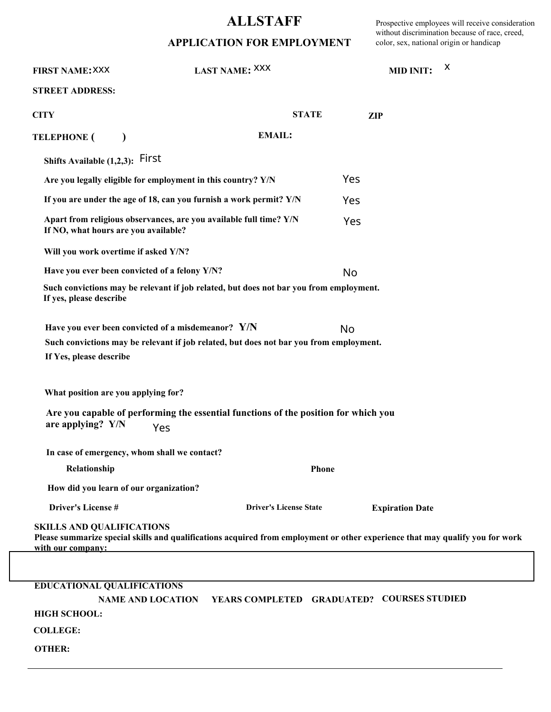## **ALLSTAFF**

## **APPLICATION FOR EMPLOYMENT**

Prospective employees will receive consideration without discrimination because of race, creed, color, sex, national origin or handicap

| <b>FIRST NAME: XXX</b>                                | LAST NAME: XXX                                                                                                                               |                                            | <b>MID INIT:</b> |                        | X |
|-------------------------------------------------------|----------------------------------------------------------------------------------------------------------------------------------------------|--------------------------------------------|------------------|------------------------|---|
| <b>STREET ADDRESS:</b>                                |                                                                                                                                              |                                            |                  |                        |   |
| <b>CITY</b>                                           |                                                                                                                                              | <b>STATE</b>                               | <b>ZIP</b>       |                        |   |
| <b>TELEPHONE (</b>                                    |                                                                                                                                              | <b>EMAIL:</b>                              |                  |                        |   |
| Shifts Available (1,2,3): First                       |                                                                                                                                              |                                            |                  |                        |   |
|                                                       | Are you legally eligible for employment in this country? Y/N                                                                                 |                                            | Yes              |                        |   |
|                                                       | If you are under the age of 18, can you furnish a work permit? Y/N                                                                           |                                            | Yes              |                        |   |
| If NO, what hours are you available?                  | Apart from religious observances, are you available full time? Y/N                                                                           |                                            | Yes              |                        |   |
| Will you work overtime if asked Y/N?                  |                                                                                                                                              |                                            |                  |                        |   |
|                                                       | Have you ever been convicted of a felony Y/N?                                                                                                |                                            | <b>No</b>        |                        |   |
| If yes, please describe                               | Such convictions may be relevant if job related, but does not bar you from employment.                                                       |                                            |                  |                        |   |
| If Yes, please describe                               | Have you ever been convicted of a misdemeanor? Y/N<br>Such convictions may be relevant if job related, but does not bar you from employment. |                                            | No               |                        |   |
| What position are you applying for?                   |                                                                                                                                              |                                            |                  |                        |   |
| are applying? Y/N                                     | Are you capable of performing the essential functions of the position for which you<br>Yes                                                   |                                            |                  |                        |   |
|                                                       | In case of emergency, whom shall we contact?                                                                                                 |                                            |                  |                        |   |
| Relationship<br>Phone                                 |                                                                                                                                              |                                            |                  |                        |   |
| How did you learn of our organization?                |                                                                                                                                              |                                            |                  |                        |   |
| <b>Driver's License#</b>                              |                                                                                                                                              | <b>Driver's License State</b>              |                  | <b>Expiration Date</b> |   |
| <b>SKILLS AND QUALIFICATIONS</b><br>with our company: | Please summarize special skills and qualifications acquired from employment or other experience that may qualify you for work                |                                            |                  |                        |   |
|                                                       |                                                                                                                                              |                                            |                  |                        |   |
| <b>EDUCATIONAL QUALIFICATIONS</b>                     |                                                                                                                                              |                                            |                  |                        |   |
|                                                       | <b>NAME AND LOCATION</b>                                                                                                                     | YEARS COMPLETED GRADUATED? COURSES STUDIED |                  |                        |   |
| <b>HIGH SCHOOL:</b>                                   |                                                                                                                                              |                                            |                  |                        |   |
| <b>COLLEGE:</b>                                       |                                                                                                                                              |                                            |                  |                        |   |
| <b>OTHER:</b>                                         |                                                                                                                                              |                                            |                  |                        |   |